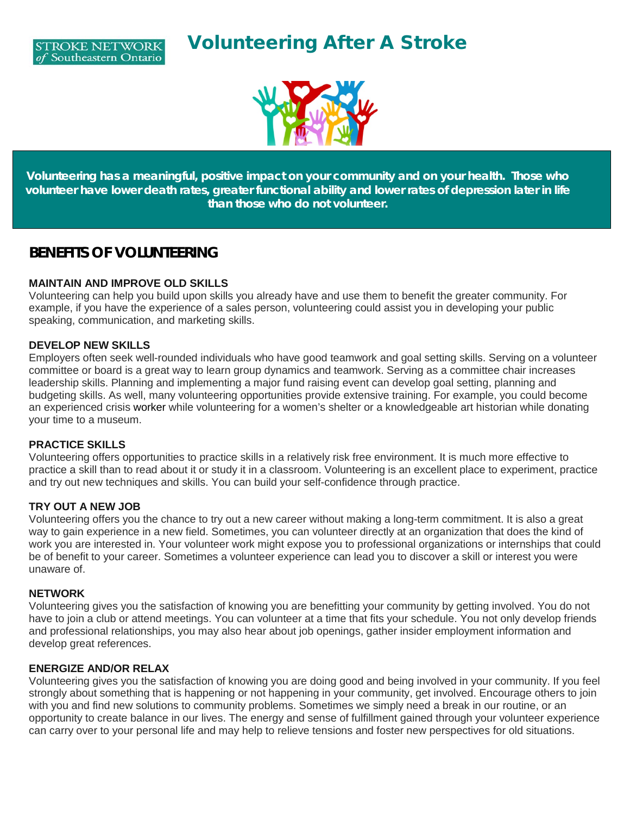



**Volunteering has a meaningful, positive impact on your community and on your health. Those who volunteer have lower death rates, greater functional ability and lower rates of depression later in life than those who do not volunteer.**

### **BENEFITS OF VOLUNTEERING**

#### **MAINTAIN AND IMPROVE OLD SKILLS**

Volunteering can help you build upon skills you already have and use them to benefit the greater community. For example, if you have the experience of a sales person, volunteering could assist you in developing your public speaking, communication, and marketing skills.

#### **DEVELOP NEW SKILLS**

Employers often seek well-rounded individuals who have good teamwork and goal setting skills. Serving on a volunteer committee or board is a great way to learn group dynamics and teamwork. Serving as a committee chair increases leadership skills. Planning and implementing a major fund raising event can develop goal setting, planning and budgeting skills. As well, many volunteering opportunities provide extensive training. For example, you could become an experienced crisis worker while volunteering for a women's shelter or a knowledgeable art historian while donating your time to a museum.

#### **PRACTICE SKILLS**

Volunteering offers opportunities to practice skills in a relatively risk free environment. It is much more effective to practice a skill than to read about it or study it in a classroom. Volunteering is an excellent place to experiment, practice and try out new techniques and skills. You can build your self-confidence through practice.

#### **TRY OUT A NEW JOB**

Volunteering offers you the chance to try out a new career without making a long-term commitment. It is also a great way to gain experience in a new field. Sometimes, you can volunteer directly at an organization that does the kind of work you are interested in. Your volunteer work might expose you to professional organizations or internships that could be of benefit to your career. Sometimes a volunteer experience can lead you to discover a skill or interest you were unaware of.

#### **NETWORK**

Volunteering gives you the satisfaction of knowing you are benefitting your community by getting involved. You do not have to join a club or attend meetings. You can volunteer at a time that fits your schedule. You not only develop friends and professional relationships, you may also hear about job openings, gather insider employment information and develop great references.

#### **ENERGIZE AND/OR RELAX**

Volunteering gives you the satisfaction of knowing you are doing good and being involved in your community. If you feel strongly about something that is happening or not happening in your community, get involved. Encourage others to join with you and find new solutions to community problems. Sometimes we simply need a break in our routine, or an opportunity to create balance in our lives. The energy and sense of fulfillment gained through your volunteer experience can carry over to your personal life and may help to relieve tensions and foster new perspectives for old situations.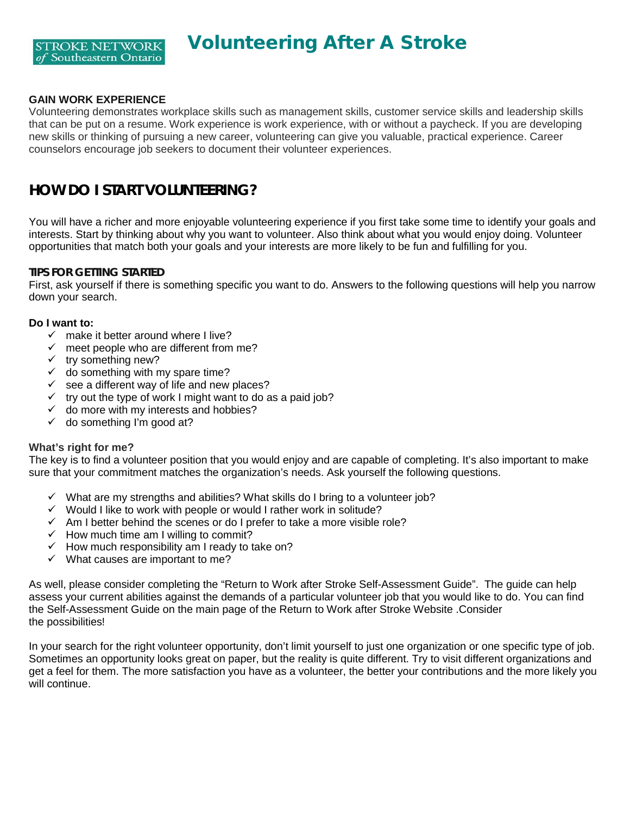

#### **GAIN WORK EXPERIENCE**

Volunteering demonstrates workplace skills such as management skills, customer service skills and leadership skills that can be put on a resume. Work experience is work experience, with or without a paycheck. If you are developing new skills or thinking of pursuing a new career, volunteering can give you valuable, practical experience. Career counselors encourage job seekers to document their volunteer experiences.

## **HOW DO I START VOLUNTEERING?**

You will have a richer and more enjoyable volunteering experience if you first take some time to identify your goals and interests. Start by thinking about why you want to volunteer. Also think about what you would enjoy doing. Volunteer opportunities that match both your goals and your interests are more likely to be fun and fulfilling for you.

#### **TIPS FOR GETTING STARTED**

First, ask yourself if there is something specific you want to do. Answers to the following questions will help you narrow down your search.

#### **Do I want to:**

- $\checkmark$  make it better around where I live?
- $\checkmark$  meet people who are different from me?
- $\checkmark$  try something new?
- $\checkmark$  do something with my spare time?
- $\checkmark$  see a different way of life and new places?
- $\checkmark$  try out the type of work I might want to do as a paid job?
- $\checkmark$  do more with my interests and hobbies?
- $\checkmark$  do something I'm good at?

#### **What's right for me?**

The key is to find a volunteer position that you would enjoy and are capable of completing. It's also important to make sure that your commitment matches the organization's needs. Ask yourself the following questions.

- $\checkmark$  What are my strengths and abilities? What skills do I bring to a volunteer job?
- $\checkmark$  Would I like to work with people or would I rather work in solitude?
- $\checkmark$  Am I better behind the scenes or do I prefer to take a more visible role?
- $\checkmark$  How much time am I willing to commit?
- $\checkmark$  How much responsibility am I ready to take on?
- $\checkmark$  What causes are important to me?

As well, please consider completing the "Return to Work after Stroke Self-Assessment Guide". The guide can help assess your current abilities against the demands of a particular volunteer job that you would like to do. You can find the Self-Assessment Guide on the main page of the Return to Work after Stroke Website .Consider the possibilities!

In your search for the right volunteer opportunity, don't limit yourself to just one organization or one specific type of job. Sometimes an opportunity looks great on paper, but the reality is quite different. Try to visit different organizations and get a feel for them. The more satisfaction you have as a volunteer, the better your contributions and the more likely you will continue.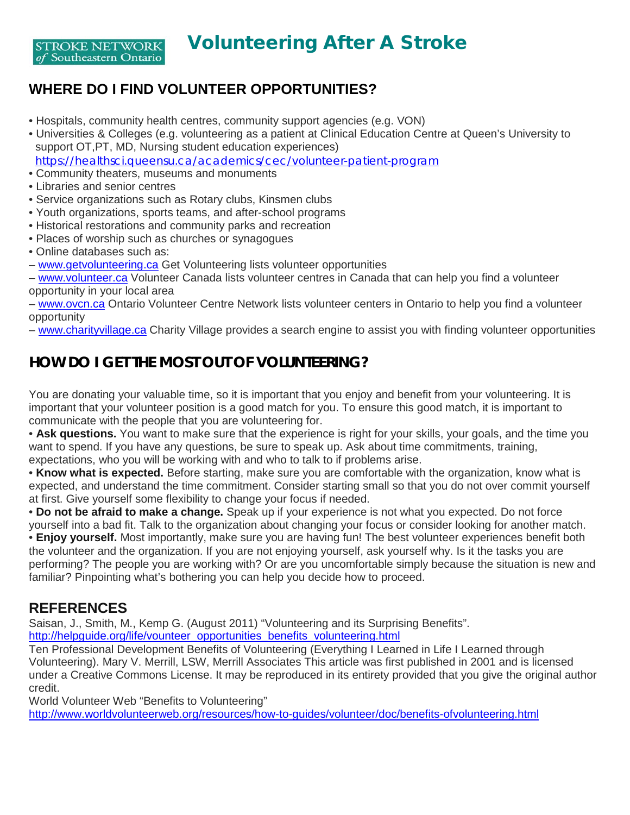## **WHERE DO I FIND VOLUNTEER OPPORTUNITIES?**

- Hospitals, community health centres, community support agencies (e.g. VON)
- Universities & Colleges (e.g. volunteering as a patient at Clinical Education Centre at Queen's University to support OT,PT, MD, Nursing student education experiences) <https://healthsci.queensu.ca/academics/cec/volunteer-patient-program>
- Community theaters, museums and monuments
- Libraries and senior centres
- Service organizations such as Rotary clubs, Kinsmen clubs
- Youth organizations, sports teams, and after-school programs
- Historical restorations and community parks and recreation
- Places of worship such as churches or synagogues
- Online databases such as:
- [www.getvolunteering.ca](http://www.getvolunteering.ca/) Get Volunteering lists volunteer opportunities

– [www.volunteer.ca](http://www.volunteer.ca/) Volunteer Canada lists volunteer centres in Canada that can help you find a volunteer opportunity in your local area

– [www.ovcn.ca](http://www.ovcn.ca/) Ontario Volunteer Centre Network lists volunteer centers in Ontario to help you find a volunteer opportunity

– [www.charityvillage.ca](http://www.charityvillage.ca/) Charity Village provides a search engine to assist you with finding volunteer opportunities

## **HOW DO I GET THE MOST OUT OF VOLUNTEERING?**

You are donating your valuable time, so it is important that you enjoy and benefit from your volunteering. It is important that your volunteer position is a good match for you. To ensure this good match, it is important to communicate with the people that you are volunteering for.

• **Ask questions.** You want to make sure that the experience is right for your skills, your goals, and the time you want to spend. If you have any questions, be sure to speak up. Ask about time commitments, training, expectations, who you will be working with and who to talk to if problems arise.

• **Know what is expected.** Before starting, make sure you are comfortable with the organization, know what is expected, and understand the time commitment. Consider starting small so that you do not over commit yourself at first. Give yourself some flexibility to change your focus if needed.

• **Do not be afraid to make a change.** Speak up if your experience is not what you expected. Do not force yourself into a bad fit. Talk to the organization about changing your focus or consider looking for another match.

• **Enjoy yourself.** Most importantly, make sure you are having fun! The best volunteer experiences benefit both the volunteer and the organization. If you are not enjoying yourself, ask yourself why. Is it the tasks you are performing? The people you are working with? Or are you uncomfortable simply because the situation is new and familiar? Pinpointing what's bothering you can help you decide how to proceed.

### **REFERENCES**

Saisan, J., Smith, M., Kemp G. (August 2011) "Volunteering and its Surprising Benefits".

[http://helpguide.org/life/vounteer\\_opportunities\\_benefits\\_volunteering.html](http://helpguide.org/life/vounteer_opportunities_benefits_volunteering.html)

Ten Professional Development Benefits of Volunteering (Everything I Learned in Life I Learned through Volunteering). Mary V. Merrill, LSW, Merrill Associates This article was first published in 2001 and is licensed under a Creative Commons License. It may be reproduced in its entirety provided that you give the original author credit.

World Volunteer Web "Benefits to Volunteering"

<http://www.worldvolunteerweb.org/resources/how-to-guides/volunteer/doc/benefits-ofvolunteering.html>